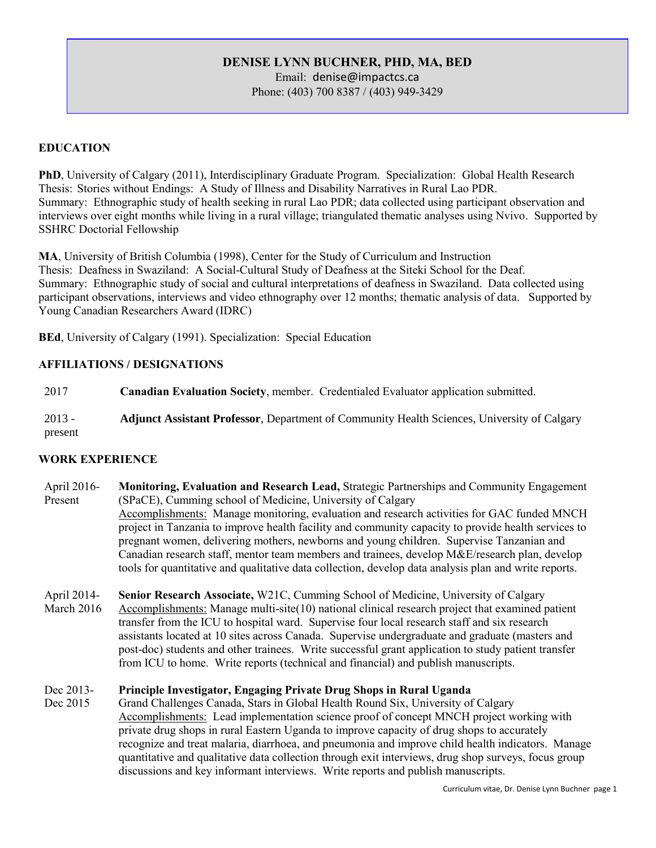# DENISE LYNN BUCHNER, PHD, MA, BED

Email: denise@impactcs.ca Phone: (403) 700 8387 / (403) 949-3429

# EDUCATION

PhD, University of Calgary (2011), Interdisciplinary Graduate Program. Specialization: Global Health Research Thesis: Stories without Endings: A Study of Illness and Disability Narratives in Rural Lao PDR. Summary: Ethnographic study of health seeking in rural Lao PDR; data collected using participant observation and interviews over eight months while living in a rural village; triangulated thematic analyses using Nvivo. Supported by SSHRC Doctorial Fellowship

MA, University of British Columbia (1998), Center for the Study of Curriculum and Instruction Thesis: Deafness in Swaziland: A Social-Cultural Study of Deafness at the Siteki School for the Deaf. Summary: Ethnographic study of social and cultural interpretations of deafness in Swaziland. Data collected using participant observations, interviews and video ethnography over 12 months; thematic analysis of data. Supported by Young Canadian Researchers Award (IDRC)

BEd, University of Calgary (1991). Specialization: Special Education

### AFFILIATIONS / DESIGNATIONS

2017 Canadian Evaluation Society, member. Credentialed Evaluator application submitted.

2013 present **Adjunct Assistant Professor**, Department of Community Health Sciences, University of Calgary

## WORK EXPERIENCE

- April 2016- Present Monitoring, Evaluation and Research Lead, Strategic Partnerships and Community Engagement (SPaCE), Cumming school of Medicine, University of Calgary Accomplishments: Manage monitoring, evaluation and research activities for GAC funded MNCH project in Tanzania to improve health facility and community capacity to provide health services to pregnant women, delivering mothers, newborns and young children. Supervise Tanzanian and Canadian research staff, mentor team members and trainees, develop M&E/research plan, develop tools for quantitative and qualitative data collection, develop data analysis plan and write reports.
- April 2014- March 2016 Senior Research Associate, W21C, Cumming School of Medicine, University of Calgary Accomplishments: Manage multi-site(10) national clinical research project that examined patient transfer from the ICU to hospital ward. Supervise four local research staff and six research assistants located at 10 sites across Canada. Supervise undergraduate and graduate (masters and post-doc) students and other trainees. Write successful grant application to study patient transfer from ICU to home. Write reports (technical and financial) and publish manuscripts.

#### Dec 2013- Principle Investigator, Engaging Private Drug Shops in Rural Uganda

Dec 2015 Grand Challenges Canada, Stars in Global Health Round Six, University of Calgary Accomplishments: Lead implementation science proof of concept MNCH project working with private drug shops in rural Eastern Uganda to improve capacity of drug shops to accurately recognize and treat malaria, diarrhoea, and pneumonia and improve child health indicators. Manage quantitative and qualitative data collection through exit interviews, drug shop surveys, focus group discussions and key informant interviews. Write reports and publish manuscripts.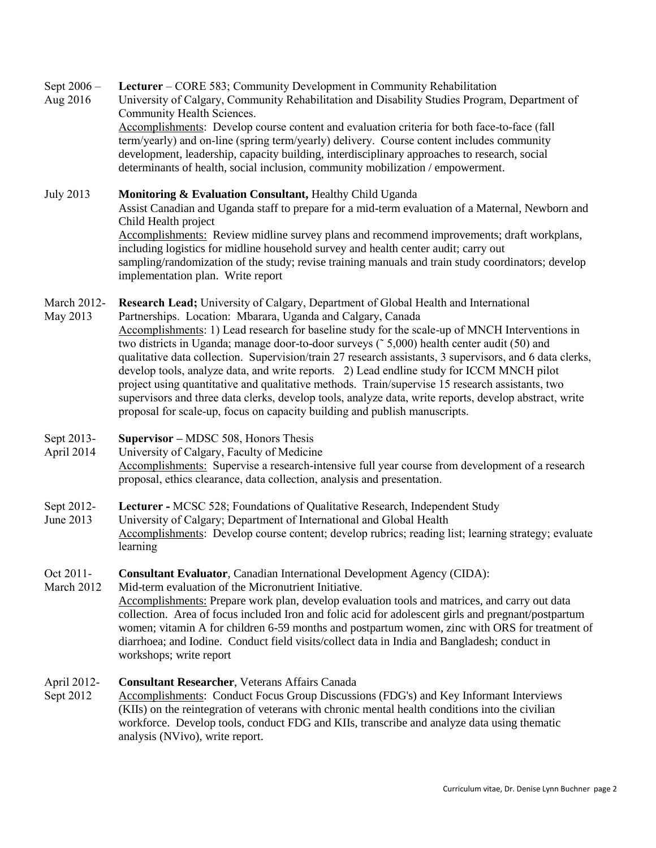Sept 2006 – Lecturer – CORE 583; Community Development in Community Rehabilitation

Aug 2016 University of Calgary, Community Rehabilitation and Disability Studies Program, Department of Community Health Sciences. Accomplishments: Develop course content and evaluation criteria for both face-to-face (fall term/yearly) and on-line (spring term/yearly) delivery. Course content includes community development, leadership, capacity building, interdisciplinary approaches to research, social determinants of health, social inclusion, community mobilization / empowerment.

July 2013 **Monitoring & Evaluation Consultant,** Healthy Child Uganda Assist Canadian and Uganda staff to prepare for a mid-term evaluation of a Maternal, Newborn and Child Health project Accomplishments: Review midline survey plans and recommend improvements; draft workplans, including logistics for midline household survey and health center audit; carry out sampling/randomization of the study; revise training manuals and train study coordinators; develop implementation plan. Write report

March 2012- Research Lead; University of Calgary, Department of Global Health and International

- May 2013 Partnerships. Location: Mbarara, Uganda and Calgary, Canada Accomplishments: 1) Lead research for baseline study for the scale-up of MNCH Interventions in two districts in Uganda; manage door-to-door surveys (˜ 5,000) health center audit (50) and qualitative data collection. Supervision/train 27 research assistants, 3 supervisors, and 6 data clerks, develop tools, analyze data, and write reports. 2) Lead endline study for ICCM MNCH pilot project using quantitative and qualitative methods. Train/supervise 15 research assistants, two supervisors and three data clerks, develop tools, analyze data, write reports, develop abstract, write proposal for scale-up, focus on capacity building and publish manuscripts.
- Sept 2013- Supervisor – MDSC 508, Honors Thesis
- April 2014 University of Calgary, Faculty of Medicine Accomplishments: Supervise a research-intensive full year course from development of a research proposal, ethics clearance, data collection, analysis and presentation.
- Sept 2012- Lecturer - MCSC 528; Foundations of Qualitative Research, Independent Study
- June 2013 University of Calgary; Department of International and Global Health Accomplishments: Develop course content; develop rubrics; reading list; learning strategy; evaluate learning
- Oct 2011- **Consultant Evaluator**, Canadian International Development Agency (CIDA):
- March 2012 Mid-term evaluation of the Micronutrient Initiative. Accomplishments: Prepare work plan, develop evaluation tools and matrices, and carry out data collection. Area of focus included Iron and folic acid for adolescent girls and pregnant/postpartum women; vitamin A for children 6-59 months and postpartum women, zinc with ORS for treatment of diarrhoea; and Iodine. Conduct field visits/collect data in India and Bangladesh; conduct in workshops; write report

#### April 2012- **Consultant Researcher**, Veterans Affairs Canada

Sept 2012 Accomplishments: Conduct Focus Group Discussions (FDG's) and Key Informant Interviews (KIIs) on the reintegration of veterans with chronic mental health conditions into the civilian workforce. Develop tools, conduct FDG and KIIs, transcribe and analyze data using thematic analysis (NVivo), write report.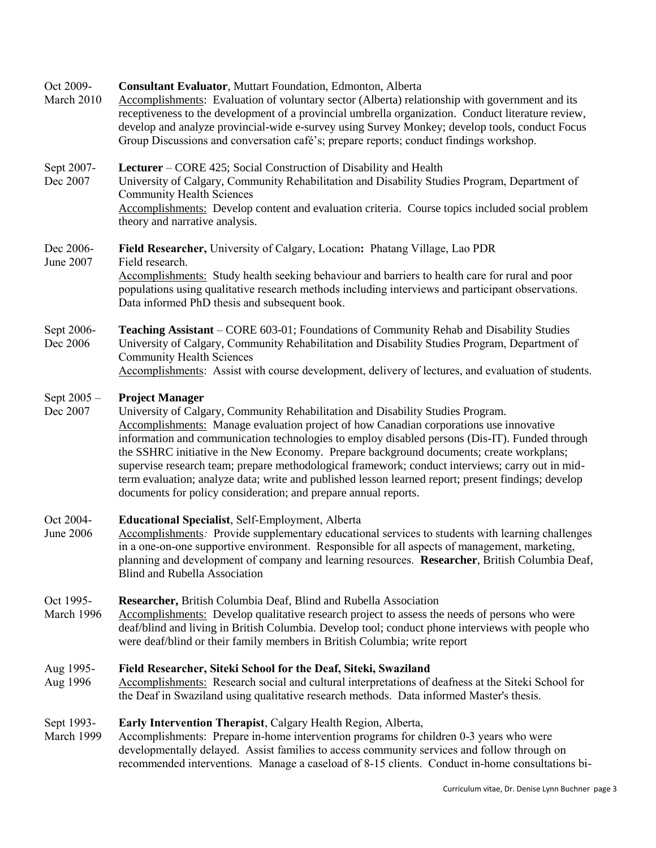#### Oct 2009- **Consultant Evaluator**, Muttart Foundation, Edmonton, Alberta

March 2010 Accomplishments: Evaluation of voluntary sector (Alberta) relationship with government and its receptiveness to the development of a provincial umbrella organization. Conduct literature review, develop and analyze provincial-wide e-survey using Survey Monkey; develop tools, conduct Focus Group Discussions and conversation café's; prepare reports; conduct findings workshop.

#### Sept 2007-**Lecturer** – CORE 425; Social Construction of Disability and Health

Dec 2007 University of Calgary, Community Rehabilitation and Disability Studies Program, Department of Community Health Sciences Accomplishments: Develop content and evaluation criteria. Course topics included social problem theory and narrative analysis.

#### Dec 2006- June 2007 Field Researcher, University of Calgary, Location: Phatang Village, Lao PDR Field research. Accomplishments: Study health seeking behaviour and barriers to health care for rural and poor populations using qualitative research methods including interviews and participant observations. Data informed PhD thesis and subsequent book.

Sept 2006- Dec 2006 **Teaching Assistant** – CORE 603-01; Foundations of Community Rehab and Disability Studies University of Calgary, Community Rehabilitation and Disability Studies Program, Department of Community Health Sciences Accomplishments: Assist with course development, delivery of lectures, and evaluation of students.

#### Sept 2005 – **Project Manager**

Dec 2007 University of Calgary, Community Rehabilitation and Disability Studies Program. Accomplishments: Manage evaluation project of how Canadian corporations use innovative information and communication technologies to employ disabled persons (Dis-IT). Funded through the SSHRC initiative in the New Economy. Prepare background documents; create workplans; supervise research team; prepare methodological framework; conduct interviews; carry out in midterm evaluation; analyze data; write and published lesson learned report; present findings; develop documents for policy consideration; and prepare annual reports.

#### Oct 2004- Educational Specialist, Self-Employment, Alberta

June 2006 Accomplishments*:* Provide supplementary educational services to students with learning challenges in a one-on-one supportive environment. Responsible for all aspects of management, marketing, planning and development of company and learning resources. **Researcher**, British Columbia Deaf, Blind and Rubella Association

#### Oct 1995- **Researcher,** British Columbia Deaf, Blind and Rubella Association

March 1996 Accomplishments: Develop qualitative research project to assess the needs of persons who were deaf/blind and living in British Columbia. Develop tool; conduct phone interviews with people who were deaf/blind or their family members in British Columbia; write report

#### Aug 1995- Field Researcher, Siteki School for the Deaf, Siteki, Swaziland

Aug 1996 Accomplishments: Research social and cultural interpretations of deafness at the Siteki School for the Deaf in Swaziland using qualitative research methods. Data informed Master's thesis.

#### Sept 1993- Early Intervention Therapist, Calgary Health Region, Alberta,

March 1999 Accomplishments: Prepare in-home intervention programs for children 0-3 years who were developmentally delayed. Assist families to access community services and follow through on recommended interventions. Manage a caseload of 8-15 clients. Conduct in-home consultations bi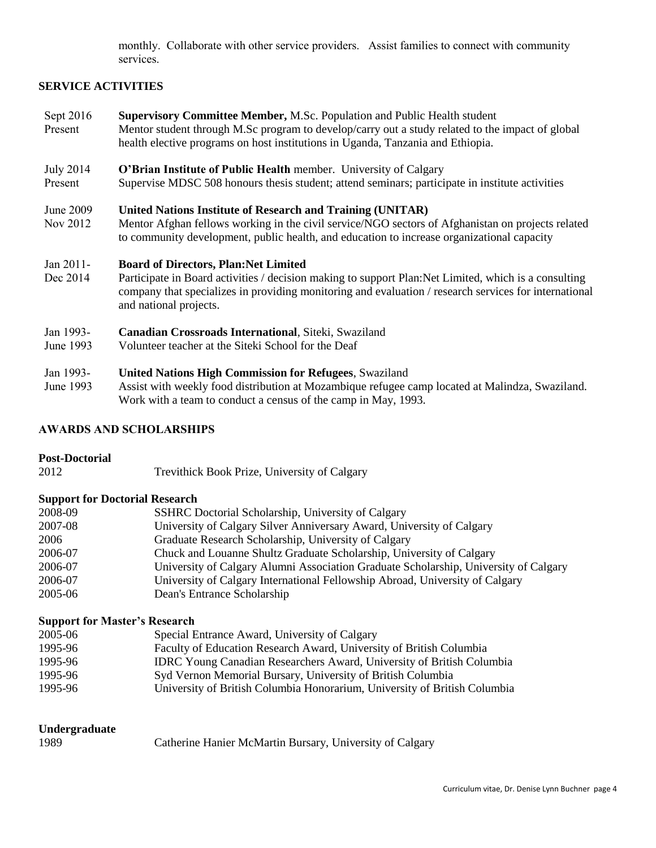monthly. Collaborate with other service providers. Assist families to connect with community services.

# **SERVICE ACTIVITIES**

Sept 2016 Present **Supervisory Committee Member,** M.Sc. Population and Public Health student Mentor student through M.Sc program to develop/carry out a study related to the impact of global health elective programs on host institutions in Uganda, Tanzania and Ethiopia.

#### July 2014 **O'Brian Institute of Public Health** member. University of Calgary

Present Supervise MDSC 508 honours thesis student; attend seminars; participate in institute activities

#### June 2009 **United Nations Institute of Research and Training (UNITAR)**

Nov 2012 Mentor Afghan fellows working in the civil service/NGO sectors of Afghanistan on projects related to community development, public health, and education to increase organizational capacity

#### Jan 2011- **Board of Directors, Plan:Net Limited**

Dec 2014 Participate in Board activities / decision making to support Plan:Net Limited, which is a consulting company that specializes in providing monitoring and evaluation / research services for international and national projects.

#### Jan 1993- **Canadian Crossroads International**, Siteki, Swaziland

June 1993 Volunteer teacher at the Siteki School for the Deaf

#### Jan 1993- **United Nations High Commission for Refugees**, Swaziland

June 1993 Assist with weekly food distribution at Mozambique refugee camp located at Malindza, Swaziland. Work with a team to conduct a census of the camp in May, 1993.

### AWARDS AND SCHOLARSHIPS

### **Post-Doctorial**

2012 Trevithick Book Prize, University of Calgary

### **Support for Doctorial Research**

| 2008-09 | SSHRC Doctorial Scholarship, University of Calgary                                   |
|---------|--------------------------------------------------------------------------------------|
| 2007-08 | University of Calgary Silver Anniversary Award, University of Calgary                |
| 2006    | Graduate Research Scholarship, University of Calgary                                 |
| 2006-07 | Chuck and Louanne Shultz Graduate Scholarship, University of Calgary                 |
| 2006-07 | University of Calgary Alumni Association Graduate Scholarship, University of Calgary |
| 2006-07 | University of Calgary International Fellowship Abroad, University of Calgary         |
| 2005-06 | Dean's Entrance Scholarship                                                          |

### **Support for Master's Research**

| 2005-06 | Special Entrance Award, University of Calgary                                |
|---------|------------------------------------------------------------------------------|
| 1995-96 | Faculty of Education Research Award, University of British Columbia          |
| 1995-96 | <b>IDRC Young Canadian Researchers Award, University of British Columbia</b> |
| 1995-96 | Syd Vernon Memorial Bursary, University of British Columbia                  |
| 1995-96 | University of British Columbia Honorarium, University of British Columbia    |

# **Undergraduate**

| 1989 | Catherine Hanier McMartin Bursary, University of Calgary |  |  |
|------|----------------------------------------------------------|--|--|
|------|----------------------------------------------------------|--|--|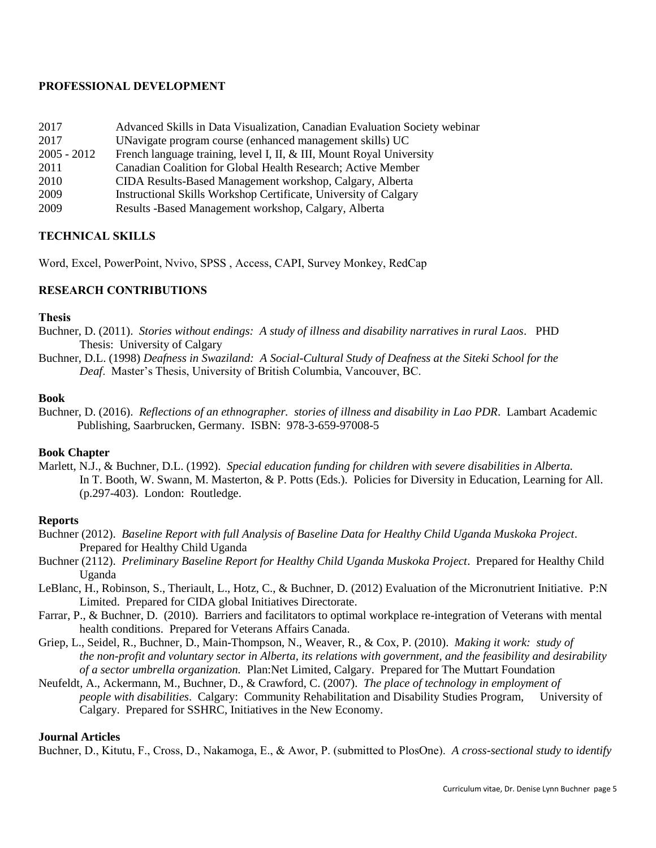### PROFESSIONAL DEVELOPMENT

| 2017          | Advanced Skills in Data Visualization, Canadian Evaluation Society webinar |
|---------------|----------------------------------------------------------------------------|
| 2017          | UNavigate program course (enhanced management skills) UC                   |
| $2005 - 2012$ | French language training, level I, II, & III, Mount Royal University       |
| 2011          | Canadian Coalition for Global Health Research; Active Member               |
| 2010          | CIDA Results-Based Management workshop, Calgary, Alberta                   |
| 2009          | Instructional Skills Workshop Certificate, University of Calgary           |
| 2009          | Results -Based Management workshop, Calgary, Alberta                       |

# TECHNICAL SKILLS

Word, Excel, PowerPoint, Nvivo, SPSS , Access, CAPI, Survey Monkey, RedCap

### RESEARCH CONTRIBUTIONS

### **Thesis**

- Buchner, D. (2011). *Stories without endings: A study of illness and disability narratives in rural Laos*. PHD Thesis: University of Calgary
- Buchner, D.L. (1998) *Deafness in Swaziland: A Social-Cultural Study of Deafness at the Siteki School for the Deaf*. Master's Thesis, University of British Columbia, Vancouver, BC.

### **Book**

Buchner, D. (2016). *Reflections of an ethnographer. stories of illness and disability in Lao PDR*. Lambart Academic Publishing, Saarbrucken, Germany. ISBN: 978-3-659-97008-5

# **Book Chapter**

Marlett, N.J., & Buchner, D.L. (1992). *Special education funding for children with severe disabilities in Alberta.* In T. Booth, W. Swann, M. Masterton, & P. Potts (Eds.). Policies for Diversity in Education, Learning for All. (p.297-403). London: Routledge.

### **Reports**

- Buchner (2012). *Baseline Report with full Analysis of Baseline Data for Healthy Child Uganda Muskoka Project*. Prepared for Healthy Child Uganda
- Buchner (2112). *Preliminary Baseline Report for Healthy Child Uganda Muskoka Project*. Prepared for Healthy Child Uganda
- LeBlanc, H., Robinson, S., Theriault, L., Hotz, C., & Buchner, D. (2012) Evaluation of the Micronutrient Initiative. P:N Limited. Prepared for CIDA global Initiatives Directorate.
- Farrar, P., & Buchner, D. (2010). Barriers and facilitators to optimal workplace re-integration of Veterans with mental health conditions. Prepared for Veterans Affairs Canada.
- Griep, L., Seidel, R., Buchner, D., Main-Thompson, N., Weaver, R., & Cox, P. (2010). *Making it work: study of the non-profit and voluntary sector in Alberta, its relations with government, and the feasibility and desirability of a sector umbrella organization.* Plan:Net Limited, Calgary. Prepared for The Muttart Foundation
- Neufeldt, A., Ackermann, M., Buchner, D., & Crawford, C. (2007). *The place of technology in employment of people with disabilities*. Calgary: Community Rehabilitation and Disability Studies Program, University of Calgary. Prepared for SSHRC, Initiatives in the New Economy.

### **Journal Articles**

Buchner, D., Kitutu, F., Cross, D., Nakamoga, E., & Awor, P. (submitted to PlosOne). *A cross-sectional study to identify*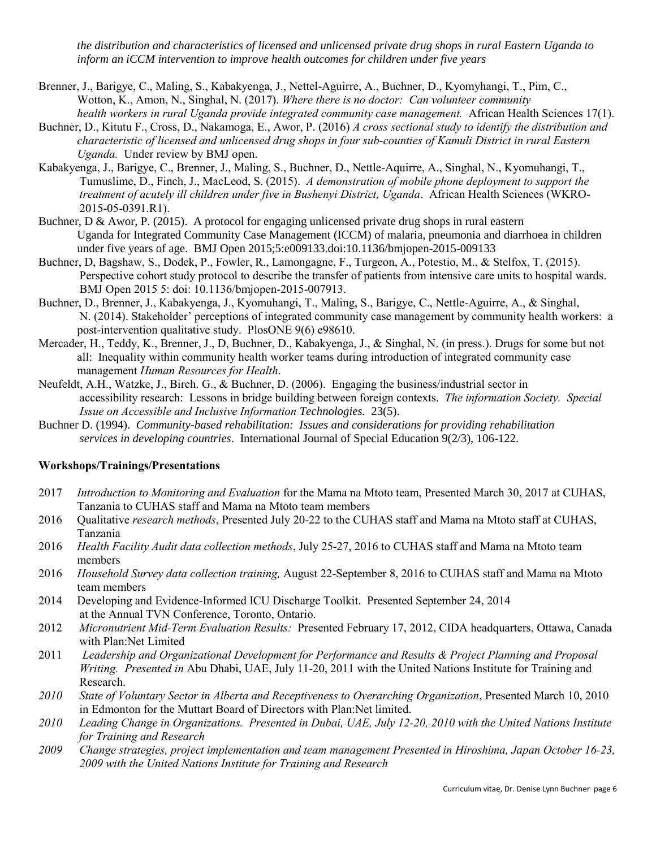*the distribution and characteristics of licensed and unlicensed private drug shops in rural Eastern Uganda to inform an iCCM intervention to improve health outcomes for children under five years*

- Brenner, J., Barigye, C., Maling, S., Kabakyenga, J., Nettel-Aguirre, A., Buchner, D., Kyomyhangi, T., Pim, C., Wotton, K., Amon, N., Singhal, N. (2017). *Where there is no doctor: Can volunteer community health workers in rural Uganda provide integrated community case management.* African Health Sciences 17(1).
- Buchner, D., Kitutu F., Cross, D., Nakamoga, E., Awor, P. (2016) *A cross sectional study to identify the distribution and characteristic of licensed and unlicensed drug shops in four sub-counties of Kamuli District in rural Eastern Uganda.* Under review by BMJ open.
- Kabakyenga, J., Barigye, C., Brenner, J., Maling, S., Buchner, D., Nettle-Aquirre, A., Singhal, N., Kyomuhangi, T., Tumuslime, D., Finch, J., MacLeod, S. (2015). *A demonstration of mobile phone deployment to support the treatment of acutely ill children under five in Bushenyi District, Uganda*. African Health Sciences (WKRO-2015-05-0391.R1).
- Buchner, D & Awor, P. (2015). A protocol for engaging unlicensed private drug shops in rural eastern Uganda for Integrated Community Case Management (ICCM) of malaria, pneumonia and diarrhoea in children under five years of age. BMJ Open 2015;5:e009133.doi:10.1136/bmjopen-2015-009133
- Buchner, D, Bagshaw, S., Dodek, P., Fowler, R., Lamongagne, F., Turgeon, A., Potestio, M., & Stelfox, T. (2015). Perspective cohort study protocol to describe the transfer of patients from intensive care units to hospital wards. BMJ Open 2015 5: doi: 10.1136/bmjopen-2015-007913.
- Buchner, D., Brenner, J., Kabakyenga, J., Kyomuhangi, T., Maling, S., Barigye, C., Nettle-Aguirre, A., & Singhal, N. (2014). Stakeholder' perceptions of integrated community case management by community health workers: a post-intervention qualitative study. PlosONE 9(6) e98610.
- Mercader, H., Teddy, K., Brenner, J., D, Buchner, D., Kabakyenga, J., & Singhal, N. (in press.). Drugs for some but not all: Inequality within community health worker teams during introduction of integrated community case management *Human Resources for Health*.
- Neufeldt, A.H., Watzke, J., Birch. G., & Buchner, D. (2006). Engaging the business/industrial sector in accessibility research: Lessons in bridge building between foreign contexts. *The information Society. Special Issue on Accessible and Inclusive Information Technologies.* 23(5).
- Buchner D. (1994). *Community-based rehabilitation: Issues and considerations for providing rehabilitation services in developing countries*. International Journal of Special Education 9(2/3), 106-122.

# Workshops/Trainings/Presentations

- 2017 *Introduction to Monitoring and Evaluation* for the Mama na Mtoto team, Presented March 30, 2017 at CUHAS, Tanzania to CUHAS staff and Mama na Mtoto team members
- 2016 Qualitative *research methods*, Presented July 20-22 to the CUHAS staff and Mama na Mtoto staff at CUHAS, Tanzania
- 2016 *Health Facility Audit data collection methods*, July 25-27, 2016 to CUHAS staff and Mama na Mtoto team members
- 2016 *Household Survey data collection training,* August 22-September 8, 2016 to CUHAS staff and Mama na Mtoto team members
- 2014 Developing and Evidence-Informed ICU Discharge Toolkit. Presented September 24, 2014 at the Annual TVN Conference, Toronto, Ontario.
- 2012 *Micronutrient Mid-Term Evaluation Results:* Presented February 17, 2012, CIDA headquarters, Ottawa, Canada with Plan:Net Limited
- 2011 *Leadership and Organizational Development for Performance and Results & Project Planning and Proposal Writing. Presented in* Abu Dhabi, UAE, July 11-20, 2011 with the United Nations Institute for Training and Research.
- *2010 State of Voluntary Sector in Alberta and Receptiveness to Overarching Organization*, Presented March 10, 2010 in Edmonton for the Muttart Board of Directors with Plan:Net limited.
- *2010 Leading Change in Organizations. Presented in Dubai, UAE, July 12-20, 2010 with the United Nations Institute for Training and Research*
- *2009 Change strategies, project implementation and team management Presented in Hiroshima, Japan October 16-23, 2009 with the United Nations Institute for Training and Research*